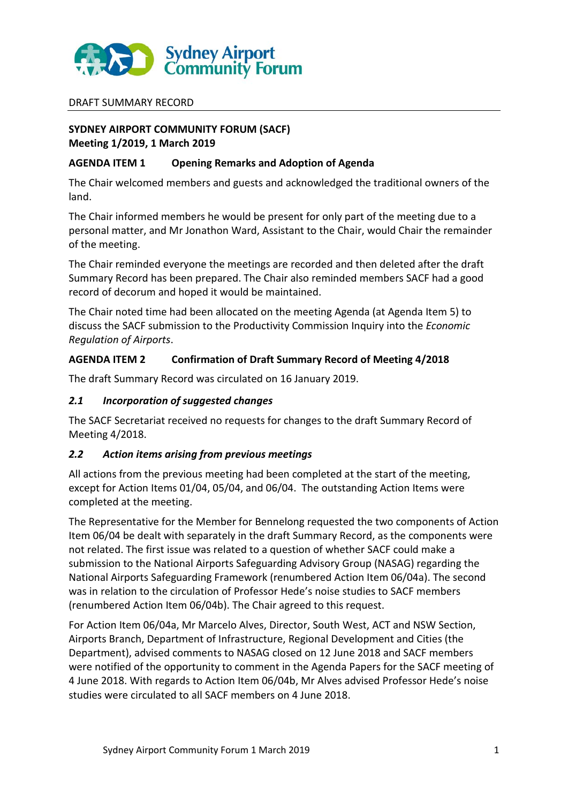

#### DRAFT SUMMARY RECORD

## **SYDNEY AIRPORT COMMUNITY FORUM (SACF) Meeting 1/2019, 1 March 2019**

#### **AGENDA ITEM 1 Opening Remarks and Adoption of Agenda**

The Chair welcomed members and guests and acknowledged the traditional owners of the land.

The Chair informed members he would be present for only part of the meeting due to a personal matter, and Mr Jonathon Ward, Assistant to the Chair, would Chair the remainder of the meeting.

The Chair reminded everyone the meetings are recorded and then deleted after the draft Summary Record has been prepared. The Chair also reminded members SACF had a good record of decorum and hoped it would be maintained.

The Chair noted time had been allocated on the meeting Agenda (at Agenda Item 5) to discuss the SACF submission to the Productivity Commission Inquiry into the *Economic Regulation of Airports*.

## **AGENDA ITEM 2 Confirmation of Draft Summary Record of Meeting 4/2018**

The draft Summary Record was circulated on 16 January 2019.

### *2.1 Incorporation of suggested changes*

The SACF Secretariat received no requests for changes to the draft Summary Record of Meeting 4/2018.

#### *2.2 Action items arising from previous meetings*

All actions from the previous meeting had been completed at the start of the meeting, except for Action Items 01/04, 05/04, and 06/04. The outstanding Action Items were completed at the meeting.

The Representative for the Member for Bennelong requested the two components of Action Item 06/04 be dealt with separately in the draft Summary Record, as the components were not related. The first issue was related to a question of whether SACF could make a submission to the National Airports Safeguarding Advisory Group (NASAG) regarding the National Airports Safeguarding Framework (renumbered Action Item 06/04a). The second was in relation to the circulation of Professor Hede's noise studies to SACF members (renumbered Action Item 06/04b). The Chair agreed to this request.

For Action Item 06/04a, Mr Marcelo Alves, Director, South West, ACT and NSW Section, Airports Branch, Department of Infrastructure, Regional Development and Cities (the Department), advised comments to NASAG closed on 12 June 2018 and SACF members were notified of the opportunity to comment in the Agenda Papers for the SACF meeting of 4 June 2018. With regards to Action Item 06/04b, Mr Alves advised Professor Hede's noise studies were circulated to all SACF members on 4 June 2018.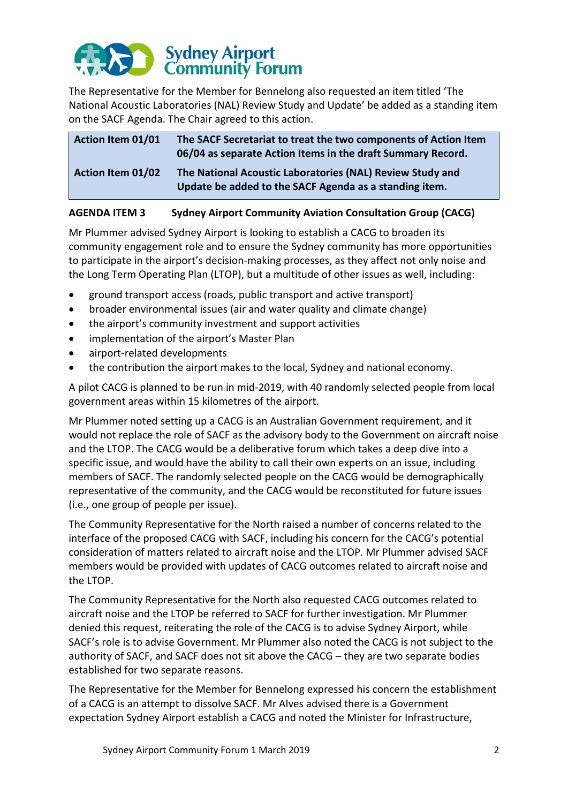

The Representative for the Member for Bennelong also requested an item titled 'The National Acoustic Laboratories (NAL) Review Study and Update' be added as a standing item on the SACF Agenda. The Chair agreed to this action.

| <b>Action Item 01/02</b> | The National Acoustic Laboratories (NAL) Review Study and<br>Update be added to the SACF Agenda as a standing item.            |
|--------------------------|--------------------------------------------------------------------------------------------------------------------------------|
| <b>Action Item 01/01</b> | The SACF Secretariat to treat the two components of Action Item<br>06/04 as separate Action Items in the draft Summary Record. |

# **AGENDA ITEM 3 Sydney Airport Community Aviation Consultation Group (CACG)**

Mr Plummer advised Sydney Airport is looking to establish a CACG to broaden its community engagement role and to ensure the Sydney community has more opportunities to participate in the airport's decision-making processes, as they affect not only noise and the Long Term Operating Plan (LTOP), but a multitude of other issues as well, including:

- ground transport access (roads, public transport and active transport)
- broader environmental issues (air and water quality and climate change)
- the airport's community investment and support activities
- implementation of the airport's Master Plan
- airport-related developments
- the contribution the airport makes to the local, Sydney and national economy.

A pilot CACG is planned to be run in mid-2019, with 40 randomly selected people from local government areas within 15 kilometres of the airport.

Mr Plummer noted setting up a CACG is an Australian Government requirement, and it would not replace the role of SACF as the advisory body to the Government on aircraft noise and the LTOP. The CACG would be a deliberative forum which takes a deep dive into a specific issue, and would have the ability to call their own experts on an issue, including members of SACF. The randomly selected people on the CACG would be demographically representative of the community, and the CACG would be reconstituted for future issues (i.e., one group of people per issue).

The Community Representative for the North raised a number of concerns related to the interface of the proposed CACG with SACF, including his concern for the CACG's potential consideration of matters related to aircraft noise and the LTOP. Mr Plummer advised SACF members would be provided with updates of CACG outcomes related to aircraft noise and the LTOP.

The Community Representative for the North also requested CACG outcomes related to aircraft noise and the LTOP be referred to SACF for further investigation. Mr Plummer denied this request, reiterating the role of the CACG is to advise Sydney Airport, while SACF's role is to advise Government. Mr Plummer also noted the CACG is not subject to the authority of SACF, and SACF does not sit above the CACG – they are two separate bodies established for two separate reasons.

The Representative for the Member for Bennelong expressed his concern the establishment of a CACG is an attempt to dissolve SACF. Mr Alves advised there is a Government expectation Sydney Airport establish a CACG and noted the Minister for Infrastructure,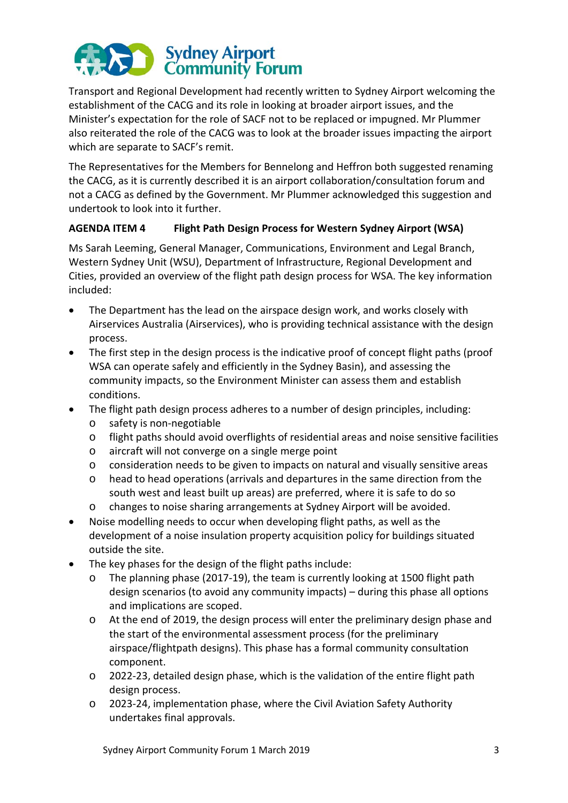

Transport and Regional Development had recently written to Sydney Airport welcoming the establishment of the CACG and its role in looking at broader airport issues, and the Minister's expectation for the role of SACF not to be replaced or impugned. Mr Plummer also reiterated the role of the CACG was to look at the broader issues impacting the airport which are separate to SACF's remit.

The Representatives for the Members for Bennelong and Heffron both suggested renaming the CACG, as it is currently described it is an airport collaboration/consultation forum and not a CACG as defined by the Government. Mr Plummer acknowledged this suggestion and undertook to look into it further.

## **AGENDA ITEM 4 Flight Path Design Process for Western Sydney Airport (WSA)**

Ms Sarah Leeming, General Manager, Communications, Environment and Legal Branch, Western Sydney Unit (WSU), Department of Infrastructure, Regional Development and Cities, provided an overview of the flight path design process for WSA. The key information included:

- The Department has the lead on the airspace design work, and works closely with Airservices Australia (Airservices), who is providing technical assistance with the design process.
- The first step in the design process is the indicative proof of concept flight paths (proof WSA can operate safely and efficiently in the Sydney Basin), and assessing the community impacts, so the Environment Minister can assess them and establish conditions.
- The flight path design process adheres to a number of design principles, including:
	- o safety is non-negotiable
	- o flight paths should avoid overflights of residential areas and noise sensitive facilities
	- o aircraft will not converge on a single merge point
	- o consideration needs to be given to impacts on natural and visually sensitive areas
	- o head to head operations (arrivals and departures in the same direction from the south west and least built up areas) are preferred, where it is safe to do so
	- o changes to noise sharing arrangements at Sydney Airport will be avoided.
- Noise modelling needs to occur when developing flight paths, as well as the development of a noise insulation property acquisition policy for buildings situated outside the site.
- The key phases for the design of the flight paths include:
	- o The planning phase (2017-19), the team is currently looking at 1500 flight path design scenarios (to avoid any community impacts) – during this phase all options and implications are scoped.
	- o At the end of 2019, the design process will enter the preliminary design phase and the start of the environmental assessment process (for the preliminary airspace/flightpath designs). This phase has a formal community consultation component.
	- o 2022-23, detailed design phase, which is the validation of the entire flight path design process.
	- o 2023-24, implementation phase, where the Civil Aviation Safety Authority undertakes final approvals.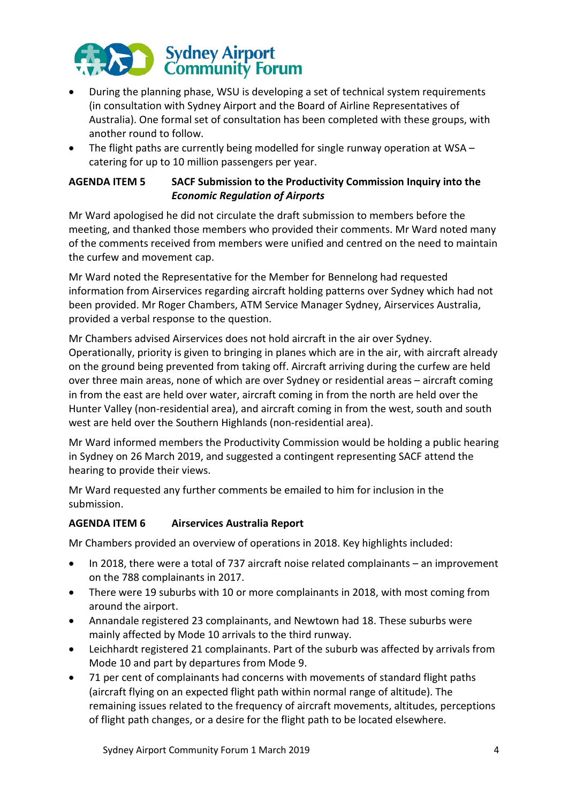

- During the planning phase, WSU is developing a set of technical system requirements (in consultation with Sydney Airport and the Board of Airline Representatives of Australia). One formal set of consultation has been completed with these groups, with another round to follow.
- The flight paths are currently being modelled for single runway operation at WSA catering for up to 10 million passengers per year.

# **AGENDA ITEM 5 SACF Submission to the Productivity Commission Inquiry into the**  *Economic Regulation of Airports*

Mr Ward apologised he did not circulate the draft submission to members before the meeting, and thanked those members who provided their comments. Mr Ward noted many of the comments received from members were unified and centred on the need to maintain the curfew and movement cap.

Mr Ward noted the Representative for the Member for Bennelong had requested information from Airservices regarding aircraft holding patterns over Sydney which had not been provided. Mr Roger Chambers, ATM Service Manager Sydney, Airservices Australia, provided a verbal response to the question.

Mr Chambers advised Airservices does not hold aircraft in the air over Sydney. Operationally, priority is given to bringing in planes which are in the air, with aircraft already on the ground being prevented from taking off. Aircraft arriving during the curfew are held over three main areas, none of which are over Sydney or residential areas – aircraft coming in from the east are held over water, aircraft coming in from the north are held over the Hunter Valley (non-residential area), and aircraft coming in from the west, south and south west are held over the Southern Highlands (non-residential area).

Mr Ward informed members the Productivity Commission would be holding a public hearing in Sydney on 26 March 2019, and suggested a contingent representing SACF attend the hearing to provide their views.

Mr Ward requested any further comments be emailed to him for inclusion in the submission.

# **AGENDA ITEM 6 Airservices Australia Report**

Mr Chambers provided an overview of operations in 2018. Key highlights included:

- In 2018, there were a total of 737 aircraft noise related complainants an improvement on the 788 complainants in 2017.
- There were 19 suburbs with 10 or more complainants in 2018, with most coming from around the airport.
- Annandale registered 23 complainants, and Newtown had 18. These suburbs were mainly affected by Mode 10 arrivals to the third runway.
- Leichhardt registered 21 complainants. Part of the suburb was affected by arrivals from Mode 10 and part by departures from Mode 9.
- 71 per cent of complainants had concerns with movements of standard flight paths (aircraft flying on an expected flight path within normal range of altitude). The remaining issues related to the frequency of aircraft movements, altitudes, perceptions of flight path changes, or a desire for the flight path to be located elsewhere.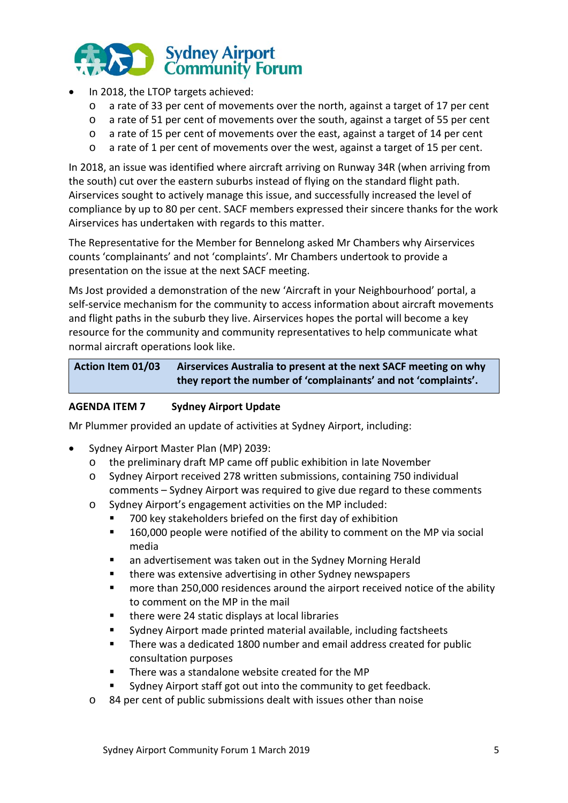

- In 2018, the LTOP targets achieved:
	- o a rate of 33 per cent of movements over the north, against a target of 17 per cent
	- o a rate of 51 per cent of movements over the south, against a target of 55 per cent
	- o a rate of 15 per cent of movements over the east, against a target of 14 per cent
	- o a rate of 1 per cent of movements over the west, against a target of 15 per cent.

In 2018, an issue was identified where aircraft arriving on Runway 34R (when arriving from the south) cut over the eastern suburbs instead of flying on the standard flight path. Airservices sought to actively manage this issue, and successfully increased the level of compliance by up to 80 per cent. SACF members expressed their sincere thanks for the work Airservices has undertaken with regards to this matter.

The Representative for the Member for Bennelong asked Mr Chambers why Airservices counts 'complainants' and not 'complaints'. Mr Chambers undertook to provide a presentation on the issue at the next SACF meeting.

Ms Jost provided a demonstration of the new 'Aircraft in your Neighbourhood' portal, a self-service mechanism for the community to access information about aircraft movements and flight paths in the suburb they live. Airservices hopes the portal will become a key resource for the community and community representatives to help communicate what normal aircraft operations look like.

| <b>Action Item 01/03</b> | Airservices Australia to present at the next SACF meeting on why |
|--------------------------|------------------------------------------------------------------|
|                          | they report the number of 'complainants' and not 'complaints'.   |

## **AGENDA ITEM 7 Sydney Airport Update**

Mr Plummer provided an update of activities at Sydney Airport, including:

- Sydney Airport Master Plan (MP) 2039:
	- o the preliminary draft MP came off public exhibition in late November
	- o Sydney Airport received 278 written submissions, containing 750 individual comments – Sydney Airport was required to give due regard to these comments
	- o Sydney Airport's engagement activities on the MP included:
		- 700 key stakeholders briefed on the first day of exhibition
		- **160,000 people were notified of the ability to comment on the MP via social** media
		- an advertisement was taken out in the Sydney Morning Herald
		- there was extensive advertising in other Sydney newspapers
		- more than 250,000 residences around the airport received notice of the ability to comment on the MP in the mail
		- there were 24 static displays at local libraries
		- Sydney Airport made printed material available, including factsheets
		- There was a dedicated 1800 number and email address created for public consultation purposes
		- There was a standalone website created for the MP
		- Sydney Airport staff got out into the community to get feedback.
	- o 84 per cent of public submissions dealt with issues other than noise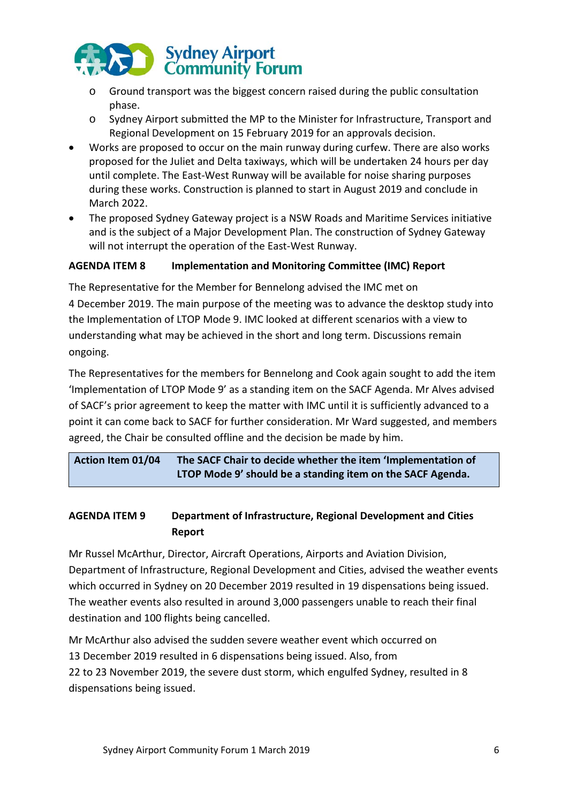

- o Ground transport was the biggest concern raised during the public consultation phase.
- o Sydney Airport submitted the MP to the Minister for Infrastructure, Transport and Regional Development on 15 February 2019 for an approvals decision.
- Works are proposed to occur on the main runway during curfew. There are also works proposed for the Juliet and Delta taxiways, which will be undertaken 24 hours per day until complete. The East-West Runway will be available for noise sharing purposes during these works. Construction is planned to start in August 2019 and conclude in March 2022.
- The proposed Sydney Gateway project is a NSW Roads and Maritime Services initiative and is the subject of a Major Development Plan. The construction of Sydney Gateway will not interrupt the operation of the East-West Runway.

## **AGENDA ITEM 8 Implementation and Monitoring Committee (IMC) Report**

The Representative for the Member for Bennelong advised the IMC met on 4 December 2019. The main purpose of the meeting was to advance the desktop study into the Implementation of LTOP Mode 9. IMC looked at different scenarios with a view to understanding what may be achieved in the short and long term. Discussions remain ongoing.

The Representatives for the members for Bennelong and Cook again sought to add the item 'Implementation of LTOP Mode 9' as a standing item on the SACF Agenda. Mr Alves advised of SACF's prior agreement to keep the matter with IMC until it is sufficiently advanced to a point it can come back to SACF for further consideration. Mr Ward suggested, and members agreed, the Chair be consulted offline and the decision be made by him.

**Action Item 01/04 The SACF Chair to decide whether the item 'Implementation of LTOP Mode 9' should be a standing item on the SACF Agenda.**

# **AGENDA ITEM 9 Department of Infrastructure, Regional Development and Cities Report**

Mr Russel McArthur, Director, Aircraft Operations, Airports and Aviation Division, Department of Infrastructure, Regional Development and Cities, advised the weather events which occurred in Sydney on 20 December 2019 resulted in 19 dispensations being issued. The weather events also resulted in around 3,000 passengers unable to reach their final destination and 100 flights being cancelled.

Mr McArthur also advised the sudden severe weather event which occurred on 13 December 2019 resulted in 6 dispensations being issued. Also, from 22 to 23 November 2019, the severe dust storm, which engulfed Sydney, resulted in 8 dispensations being issued.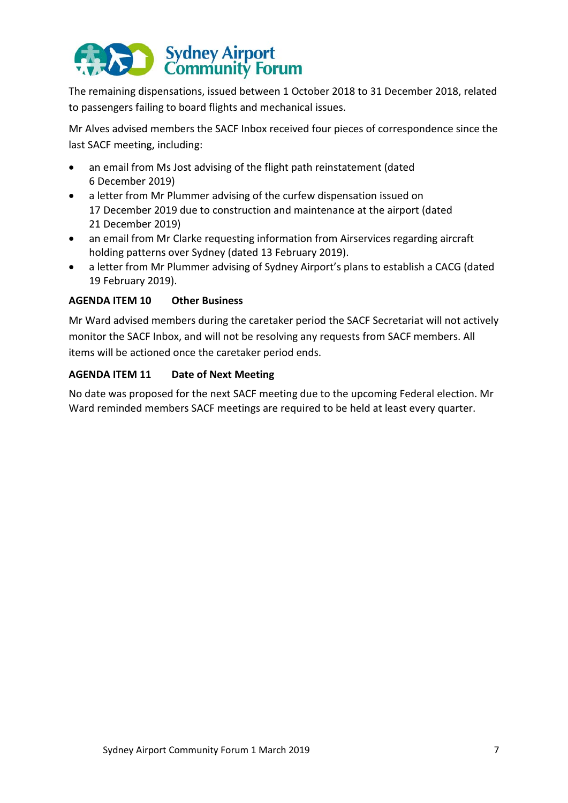# Sydney Airport<br>
Community Forum

The remaining dispensations, issued between 1 October 2018 to 31 December 2018, related to passengers failing to board flights and mechanical issues.

Mr Alves advised members the SACF Inbox received four pieces of correspondence since the last SACF meeting, including:

- an email from Ms Jost advising of the flight path reinstatement (dated 6 December 2019)
- a letter from Mr Plummer advising of the curfew dispensation issued on 17 December 2019 due to construction and maintenance at the airport (dated 21 December 2019)
- an email from Mr Clarke requesting information from Airservices regarding aircraft holding patterns over Sydney (dated 13 February 2019).
- a letter from Mr Plummer advising of Sydney Airport's plans to establish a CACG (dated 19 February 2019).

# **AGENDA ITEM 10 Other Business**

Mr Ward advised members during the caretaker period the SACF Secretariat will not actively monitor the SACF Inbox, and will not be resolving any requests from SACF members. All items will be actioned once the caretaker period ends.

# **AGENDA ITEM 11 Date of Next Meeting**

No date was proposed for the next SACF meeting due to the upcoming Federal election. Mr Ward reminded members SACF meetings are required to be held at least every quarter.